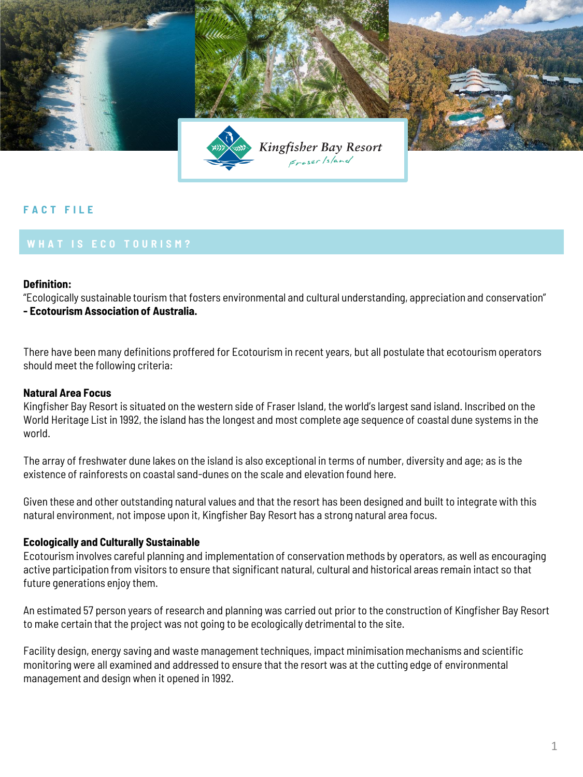

# **F A C T F I L E**

### **Definition:**

"Ecologically sustainable tourism that fosters environmental and cultural understanding, appreciation and conservation" **- Ecotourism Association of Australia.**

There have been many definitions proffered for Ecotourism in recent years, but all postulate that ecotourism operators should meet the following criteria:

## **Natural Area Focus**

Kingfisher Bay Resort is situated on the western side of Fraser Island, the world's largest sand island. Inscribed on the World Heritage List in 1992, the island has the longest and most complete age sequence of coastal dune systems in the world.

The array of freshwater dune lakes on the island is also exceptional in terms of number, diversity and age; as is the existence of rainforests on coastal sand-dunes on the scale and elevation found here.

Given these and other outstanding natural values and that the resort has been designed and built to integrate with this natural environment, not impose upon it, Kingfisher Bay Resort has a strong natural area focus.

#### **Ecologically and Culturally Sustainable**

Ecotourism involves careful planning and implementation of conservation methods by operators, as well as encouraging active participation from visitors to ensure that significant natural, cultural and historical areas remain intact so that future generations enjoy them.

An estimated 57 person years of research and planning was carried out prior to the construction of Kingfisher Bay Resort to make certain that the project was not going to be ecologically detrimental to the site.

Facility design, energy saving and waste management techniques, impact minimisation mechanisms and scientific monitoring were all examined and addressed to ensure that the resort was at the cutting edge of environmental management and design when it opened in 1992.